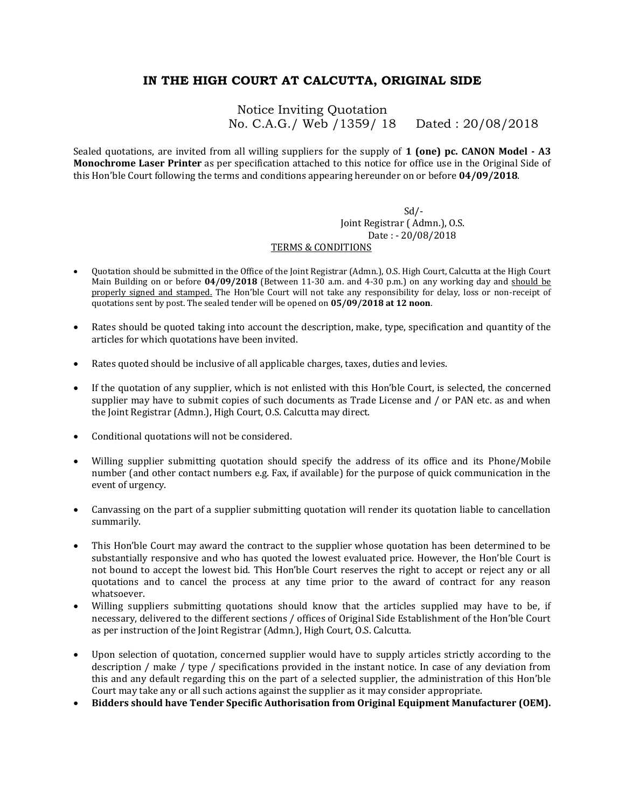## **IN THE HIGH COURT AT CALCUTTA, ORIGINAL SIDE**

Notice Inviting Quotation No. C.A.G./ Web /1359/ 18 Dated : 20/08/2018

Sealed quotations, are invited from all willing suppliers for the supply of **1 (one) pc. CANON Model - A3 Monochrome Laser Printer** as per specification attached to this notice for office use in the Original Side of this Hon'ble Court following the terms and conditions appearing hereunder on or before **04/09/2018**.

> $Sd$  /- Joint Registrar ( Admn.), O.S. Date : - 20/08/2018

## TERMS & CONDITIONS

- Quotation should be submitted in the Office of the Joint Registrar (Admn.), O.S. High Court, Calcutta at the High Court Main Building on or before **04/09/2018** (Between 11-30 a.m. and 4-30 p.m.) on any working day and should be properly signed and stamped. The Hon'ble Court will not take any responsibility for delay, loss or non-receipt of quotations sent by post. The sealed tender will be opened on **05/09/2018 at 12 noon**.
- Rates should be quoted taking into account the description, make, type, specification and quantity of the articles for which quotations have been invited.
- Rates quoted should be inclusive of all applicable charges, taxes, duties and levies.
- If the quotation of any supplier, which is not enlisted with this Hon'ble Court, is selected, the concerned supplier may have to submit copies of such documents as Trade License and / or PAN etc. as and when the Joint Registrar (Admn.), High Court, O.S. Calcutta may direct.
- Conditional quotations will not be considered.
- Willing supplier submitting quotation should specify the address of its office and its Phone/Mobile number (and other contact numbers e.g. Fax, if available) for the purpose of quick communication in the event of urgency.
- Canvassing on the part of a supplier submitting quotation will render its quotation liable to cancellation summarily.
- This Hon'ble Court may award the contract to the supplier whose quotation has been determined to be substantially responsive and who has quoted the lowest evaluated price. However, the Hon'ble Court is not bound to accept the lowest bid. This Hon'ble Court reserves the right to accept or reject any or all quotations and to cancel the process at any time prior to the award of contract for any reason whatsoever.
- Willing suppliers submitting quotations should know that the articles supplied may have to be, if necessary, delivered to the different sections / offices of Original Side Establishment of the Hon'ble Court as per instruction of the Joint Registrar (Admn.), High Court, O.S. Calcutta.
- Upon selection of quotation, concerned supplier would have to supply articles strictly according to the description / make / type / specifications provided in the instant notice. In case of any deviation from this and any default regarding this on the part of a selected supplier, the administration of this Hon'ble Court may take any or all such actions against the supplier as it may consider appropriate.
- **Bidders should have Tender Specific Authorisation from Original Equipment Manufacturer (OEM).**